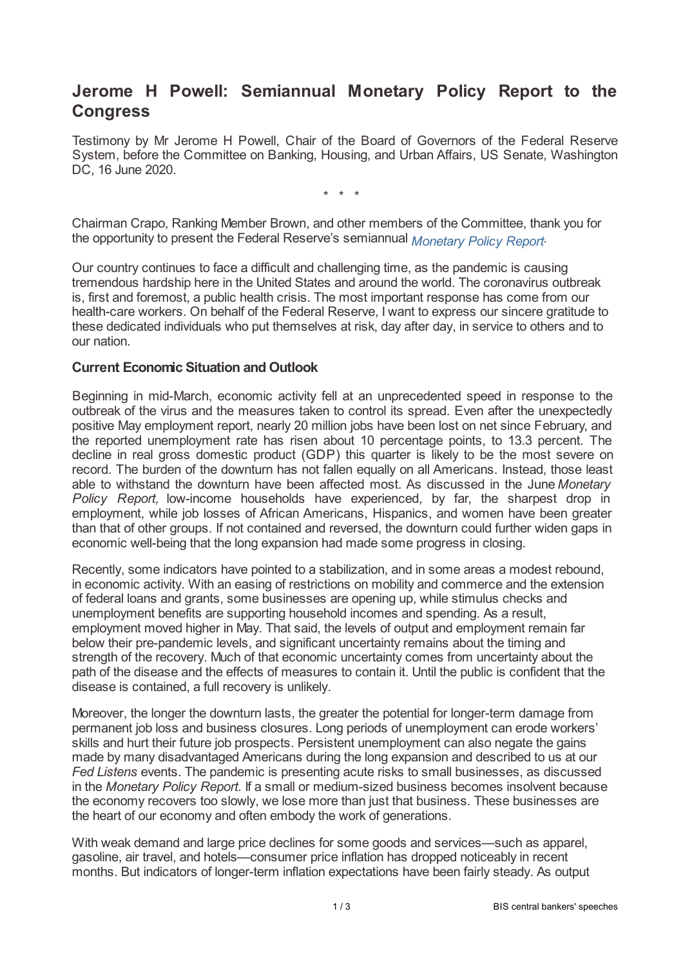## **Jerome H Powell: Semiannual Monetary Policy Report to the Congress**

Testimony by Mr Jerome H Powell, Chair of the Board of Governors of the Federal Reserve System, before the Committee on Banking, Housing, and Urban Affairs, US Senate, Washington DC, 16 June 2020.

\* \* \*

Chairman Crapo, Ranking Member Brown, and other members of the Committee, thank you for the opportunity to present the Federal Reserve's semiannual *[Monetary](www.federalreserve.gov/monetarypolicy/2020?06-mpr-summary.htm) Policy Report .*

Our country continues to face a difficult and challenging time, as the pandemic is causing tremendous hardship here in the United States and around the world. The coronavirus outbreak is, first and foremost, a public health crisis. The most important response has come from our health-care workers. On behalf of the Federal Reserve, I want to express our sincere gratitude to these dedicated individuals who put themselves at risk, day after day, in service to others and to our nation.

## **Current Economic Situation and Outlook**

Beginning in mid-March, economic activity fell at an unprecedented speed in response to the outbreak of the virus and the measures taken to control its spread. Even after the unexpectedly positive May employment report, nearly 20 million jobs have been lost on net since February, and the reported unemployment rate has risen about 10 percentage points, to 13.3 percent. The decline in real gross domestic product (GDP) this quarter is likely to be the most severe on record. The burden of the downturn has not fallen equally on all Americans. Instead, those least able to withstand the downturn have been affected most. As discussed in the June *Monetary Policy Report,* low-income households have experienced, by far, the sharpest drop in employment, while job losses of African Americans, Hispanics, and women have been greater than that of other groups. If not contained and reversed, the downturn could further widen gaps in economic well-being that the long expansion had made some progress in closing.

Recently, some indicators have pointed to a stabilization, and in some areas a modest rebound, in economic activity. With an easing of restrictions on mobility and commerce and the extension of federal loans and grants, some businesses are opening up, while stimulus checks and unemployment benefits are supporting household incomes and spending. As a result, employment moved higher in May. That said, the levels of output and employment remain far below their pre-pandemic levels, and significant uncertainty remains about the timing and strength of the recovery. Much of that economic uncertainty comes from uncertainty about the path of the disease and the effects of measures to contain it. Until the public is confident that the disease is contained, a full recovery is unlikely.

Moreover, the longer the downturn lasts, the greater the potential for longer-term damage from permanent job loss and business closures. Long periods of unemployment can erode workers' skills and hurt their future job prospects. Persistent unemployment can also negate the gains made by many disadvantaged Americans during the long expansion and described to us at our *Fed Listens* events. The pandemic is presenting acute risks to small businesses, as discussed in the *Monetary Policy Report.* If a small or medium-sized business becomes insolvent because the economy recovers too slowly, we lose more than just that business. These businesses are the heart of our economy and often embody the work of generations.

With weak demand and large price declines for some goods and services—such as apparel, gasoline, air travel, and hotels—consumer price inflation has dropped noticeably in recent months. But indicators of longer-term inflation expectations have been fairly steady. As output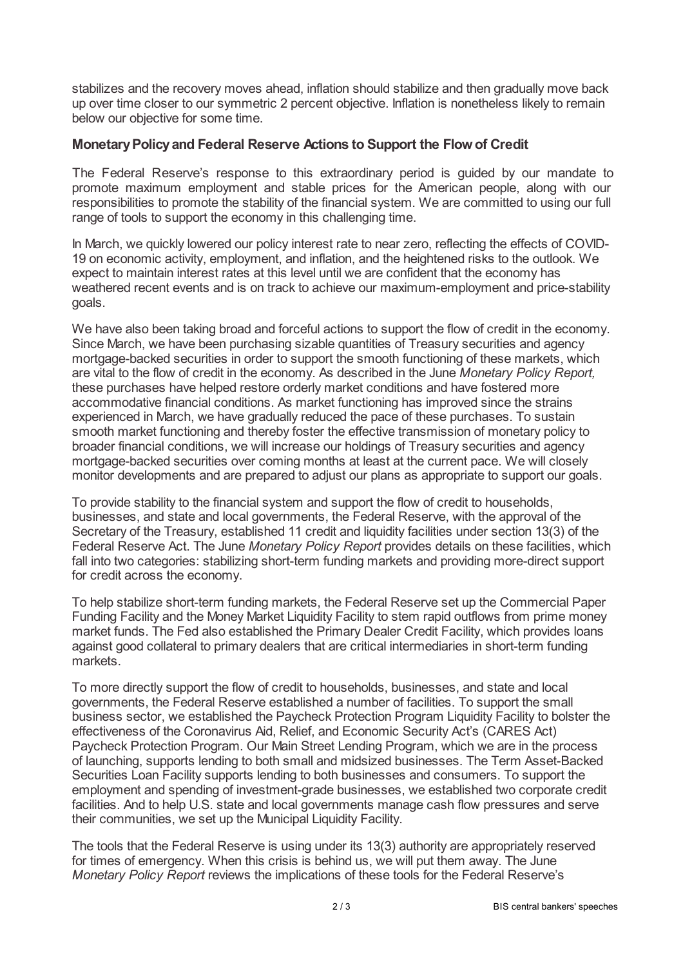stabilizes and the recovery moves ahead, inflation should stabilize and then gradually move back up over time closer to our symmetric 2 percent objective. Inflation is nonetheless likely to remain below our objective for some time.

## **MonetaryPolicyand Federal Reserve Actions to Support the Flowof Credit**

The Federal Reserve's response to this extraordinary period is guided by our mandate to promote maximum employment and stable prices for the American people, along with our responsibilities to promote the stability of the financial system. We are committed to using our full range of tools to support the economy in this challenging time.

In March, we quickly lowered our policy interest rate to near zero, reflecting the effects of COVID-19 on economic activity, employment, and inflation, and the heightened risks to the outlook. We expect to maintain interest rates at this level until we are confident that the economy has weathered recent events and is on track to achieve our maximum-employment and price-stability goals.

We have also been taking broad and forceful actions to support the flow of credit in the economy. Since March, we have been purchasing sizable quantities of Treasury securities and agency mortgage-backed securities in order to support the smooth functioning of these markets, which are vital to the flow of credit in the economy. As described in the June *Monetary Policy Report,* these purchases have helped restore orderly market conditions and have fostered more accommodative financial conditions. As market functioning has improved since the strains experienced in March, we have gradually reduced the pace of these purchases. To sustain smooth market functioning and thereby foster the effective transmission of monetary policy to broader financial conditions, we will increase our holdings of Treasury securities and agency mortgage-backed securities over coming months at least at the current pace. We will closely monitor developments and are prepared to adjust our plans as appropriate to support our goals.

To provide stability to the financial system and support the flow of credit to households, businesses, and state and local governments, the Federal Reserve, with the approval of the Secretary of the Treasury, established 11 credit and liquidity facilities under section 13(3) of the Federal Reserve Act. The June *Monetary Policy Report* provides details on these facilities, which fall into two categories: stabilizing short-term funding markets and providing more-direct support for credit across the economy.

To help stabilize short-term funding markets, the Federal Reserve set up the Commercial Paper Funding Facility and the Money Market Liquidity Facility to stem rapid outflows from prime money market funds. The Fed also established the Primary Dealer Credit Facility, which provides loans against good collateral to primary dealers that are critical intermediaries in short-term funding markets.

To more directly support the flow of credit to households, businesses, and state and local governments, the Federal Reserve established a number of facilities. To support the small business sector, we established the Paycheck Protection Program Liquidity Facility to bolster the effectiveness of the Coronavirus Aid, Relief, and Economic Security Act's (CARES Act) Paycheck Protection Program. Our Main Street Lending Program, which we are in the process of launching, supports lending to both small and midsized businesses. The Term Asset-Backed Securities Loan Facility supports lending to both businesses and consumers. To support the employment and spending of investment-grade businesses, we established two corporate credit facilities. And to help U.S. state and local governments manage cash flow pressures and serve their communities, we set up the Municipal Liquidity Facility.

The tools that the Federal Reserve is using under its 13(3) authority are appropriately reserved for times of emergency. When this crisis is behind us, we will put them away. The June *Monetary Policy Report* reviews the implications of these tools for the Federal Reserve's